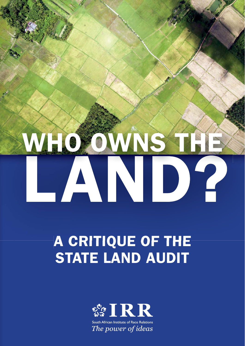# WHO OWNS AND?

# **A CRITIQUE OF THE STATE LAND AUDIT**

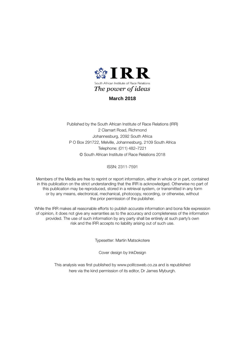

### **March 2018**

Published by the South African Institute of Race Relations (IRR) 2 Clamart Road, Richmond Johannesburg, 2092 South Africa P O Box 291722, Melville, Johannesburg, 2109 South Africa Telephone: (011) 482–7221 © South African Institute of Race Relations 2018

ISSN: 2311-7591

Members of the Media are free to reprint or report information, either in whole or in part, contained in this publication on the strict understanding that the IRR is acknowledged. Otherwise no part of this publication may be reproduced, stored in a retrieval system, or transmitted in any form or by any means, electronical, mechanical, photocopy, recording, or otherwise, without the prior permission of the publisher.

While the IRR makes all reasonable efforts to publish accurate information and bona fide expression of opinion, it does not give any warranties as to the accuracy and completeness of the information provided. The use of such information by any party shall be entirely at such party's own risk and the IRR accepts no liability arising out of such use.

Typesetter: Martin Matsokotere

Cover design by InkDesign

This analysis was first published by www.politcsweb.co.za and is republished here via the kind permission of its editor, Dr James Myburgh.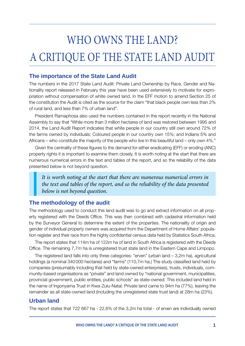## WHO OWNS THE LAND? A CRITIQUE OF THE STATE LAND AUDIT

### **The importance of the State Land Audit**

The numbers in the 2017 State Land Audit: Private Land Ownership by Race, Gender and Nationality report released in February this year have been used extensively to motivate for expropriation without compensation of white owned land. In the EFF motion to amend Section 25 of the constitution the Audit is cited as the source for the claim "that black people own less than 2% of rural land, and less than 7% of urban land".

President Ramaphosa also used the numbers contained in the report recently in the National Assembly to say that "While more than 3 million hectares of land was restored between 1995 and 2014, the Land Audit Report indicates that white people in our country still own around 72% of the farms owned by individuals; Coloured people in our country own 15%; and Indians 5% and Africans – who constitute the majority of the people who live in this beautiful land – only own 4%."

Given the centrality of these figures to the demand for either eradicating (EFF) or eroding (ANC) property rights it is important to examine them closely. It is worth noting at the start that there are numerous numerical errors in the text and tables of the report, and so the reliability of the data presented below is not beyond question.

*It is worth noting at the start that there are numerous numerical errors in the text and tables of the report, and so the reliability of the data presented below is not beyond question.*

### **The methodology of the audit**

The methodology used to conduct this land audit was to go and extract information on all property registered with the Deeds Office. This was then combined with cadastral information held by the Surveyor General to determine the extent of the properties. The nationality of origin and gender of individual property owners was acquired from the Department of Home Affairs' population register and their race from the highly confidential census data held by Statistics South Africa.

The report states that 114m ha of 122m ha of land in South Africa is registered with the Deeds Office. The remaining 7,7m ha is unregistered trust state land in the Eastern Cape and Limpopo.

The registered land falls into only three categories: "erven" (urban land – 3,2m ha), agricultural holdings (a nominal 340 000 hectares) and "farms" (110,7m ha.) The study classified land held by companies (presumably including that held by state-owned enterprises), trusts, individuals, community-based organisations as "private" and land owned by "national government, municipalities, provincial government, public entities, public schools" as state-owned. This included land held in the name of Ingonyama Trust in Kwa-Zulu-Natal. Private land came to 94m ha (77%), leaving the remainder as all state-owned land (including the unregistered state trust land) at 28m ha (23%).

### **Urban land**

The report states that 722 667 ha - 22,6% of the 3,2m ha total - of erven are individually owned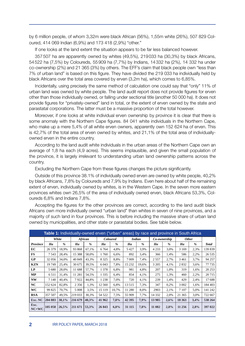by 6 million people, of whom 3,32m were black African (56%), 1,55m white (26%), 507 829 Coloured, 414 069 Indian (6,9%) and 173 418 (2,9%) "other."

If one looks at the land extent the situation appears to be far less balanced however.

357 507 ha are apparently owned by whites (49,5%), 219 033 ha (30,3%) by black Africans, 54 522 ha (7,5%) by Coloureds, 55 909 ha (7,7%) by Indians, 14 332 ha (2%), 14 332 ha under co-ownership (2%) and 21 365 (3%) by others. The EFF's claim that black people own "less than 7% of urban land" is based on this figure. They have divided the 219 033 ha individually held by black Africans over the total area covered by erven (3,2m ha), which comes to 6,85%.

Incidentally, using precisely the same method of calculation one could say that "only" 11% of urban land was owned by white people. The land audit report does not provide figures for erven other than those individually owned, or falling under sectional title (another 50 000 ha). It does not provide figures for "privately-owned" land in total, or the extent of erven owned by the state and parastatal corporations. The latter must be a massive proportion of the total however.

Moreover, if one looks at white individual erven ownership by province it is clear that there is some anomaly with the Northern Cape figures. 84 041 white individuals in the Northern Cape, who make up a mere 5,4% of all white erven owners, apparently own 152 624 ha of erven. This is 42,7% of the total area of erven owned by whites, and 21,1% of the total area of individuallyowned erven in the entire country.

According to the land audit white individuals in the urban areas of the Northern Cape own an average of 1,8 ha each (4,9 acres). This seems implausible, and given the small population of the province, it is largely irrelevant to understanding urban land ownership patterns across the country.

Excluding the Northern Cape from these figures changes the picture significantly.

Outside of this province 38.1% of individually owned erven are owned by white people, 40,2% by black Africans, 7,8% by Coloureds and 7,9% by Indians. Even here about half of the remaining extent of erven, individually owned by whites, is in the Western Cape. In the seven more eastern provinces whites own 26,5% of the area of individually owned erven, black Africans 53,3%, Coloureds 6,8% and Indians 7,8%.

Accepting the figures for the other provinces are correct, according to the land audit black Africans own more individually owned "urban land" than whites in seven of nine provinces, and a majority of such land in four provinces. This is before including the massive share of urban land owned by municipalities, and other state or parastatal bodies. See table below.

| Table 1: Individually-owned erven ("urban" areas) by race and province in South Africa |         |               |          |       |                 |       |               |               |              |      |              |               |              |
|----------------------------------------------------------------------------------------|---------|---------------|----------|-------|-----------------|-------|---------------|---------------|--------------|------|--------------|---------------|--------------|
|                                                                                        | White   |               | African  |       | <b>Coloured</b> |       | <b>Indian</b> |               | Co-ownership |      | <b>Other</b> |               |              |
| Province                                                                               | Ha      | $\frac{9}{6}$ | Ha       | $\%$  | Ha              | %     | Ha            | $\frac{9}{6}$ | Ha           | %    | Ha           | $\frac{9}{6}$ | <b>Total</b> |
| EC                                                                                     | 26 379  | 18.9%         | 93 868   | 67,1% | 6 7 6 4         | 4,8%  | 5427          | 3,9%          | 4 2 3 3      | 3,0% | 3 1 6 9      | 2,3%          | 139 839      |
| FS                                                                                     | 7543    | 28,4%         | 15 3 8 8 | 58,0% | 1760            | 6,6%  | 892           | 3,4%          | 366          | 1,4% | 586          | 2,2%          | 26 5 35      |
| GP                                                                                     | 32 056  | 34,0%         | 40 849   | 43,3% | 8 3 2 5         | 8,8%  | 7 0 0 9       | 7,4%          | 2557         | 2,7% | 3 4 6 1      | 3.7%          | 94 257       |
| <b>KZN</b>                                                                             | 19749   | 25,4%         | 30 675   | 39,5% | 6 0 43          | 7,8%  | 15 232        | 19,6%         | 3 2 0 5      | 4,1% | 2832         | 3,6%          | 77 735       |
| LP                                                                                     | 5 6 8 0 | 28,0%         | 11 688   | 57,7% | 1 378           | 6,8%  | 981           | 4,8%          | 207          | 1,0% | 319          | 1,6%          | 20 25 3      |
| МP                                                                                     | 6511    | 31,4%         | 11 281   | 54,5% | 1 3 3 5         | 6,4%  | 854           | 4,1%          | 275          | 1,3% | 460          | 2,2%          | 20715        |
| <b>NW</b>                                                                              | 7 1 4 0 | 40.4%         | 7922     | 44,8% | 1 238           | 7,0%  | 720           | 4,1%          | 239          | 1,4% | 429          | 2,4%          | 17688        |
| NC                                                                                     | 152 624 | 82.8%         | 2 3 5 6  | 1,3%  | 12 560          | 6,8%  | 13515         | 7,3%          | 347          | 0,2% | 3 0 0 2      | 1,6%          | 184 403      |
| WC                                                                                     | 99 825  | 70.7%         | 5 0 0 8  | 3.5%  | 15 119          | 10,7% | 11 280        | 8,0%          | 2903         | 2,1% | 7 1 0 7      | 5,0%          | 141 242      |
| <b>RSA</b>                                                                             | 357 507 | 49,5%         | 219 033  | 30,3% | 54 5 22         | 7,5%  | 55 909        | 7,7%          | 14 3 32      | 2,0% | 21 3 65      | 3.0%          | 722 667      |
| Exc. NC                                                                                | 204 883 | 38,1%         | 216 679  | 40,3% | 41 962          | 7,8%  | 42 395        | 7,9%          | 13 9 85      | 2,6% | 18 3 63      | 3,4%          | 538 264      |
| Exc.<br>$NC+WC$                                                                        | 105 058 | 26,5%         | 211 671  | 53,3% | 26 843          | 6,8%  | 31 115        | 7,8%          | 11 082       | 2,8% | 11 256       | 2,8%          | 397 022      |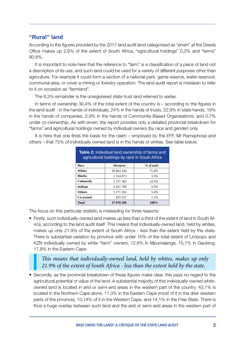### **"Rural" land**

According to the figures provided by the 2017 land audit land categorised as "erven" at the Deeds Office makes up 2,6% of the extent of South Africa, "agricultural holdings" 0,3% and "farms" 90,8%.

It is important to note here that the reference to "farm" is a classification of a piece of land not a description of its use, and such land could be used for a variety of different purposes other than agriculture. For example it could form a section of a national park, game reserve, water reservoir, communal area, or cover a mining or forestry operation. The land audit report is mistaken to refer to it on occasion as "farmland".

The 6,3% remainder is the unregistered state trust land referred to earlier.

In terms of ownership  $30.4\%$  of the total extent of the country is – according to the figures in the land audit - in the hands of individuals, 24% in the hands of trusts, 22,9% in state hands, 19% in the hands of companies, 2,9% in the hands of Community-Based Organisations, and 0,7% under co-ownership. As with erven, the report provides only a detailed provincial breakdown for "farms" and agricultural holdings owned by individual owners (by race and gender) only.

It is here that one finds the basis for the claim – employed by the EFF, Mr Ramaphosa and others – that 72% of individually owned land is in the hands of whites. See table below.

| <b>Table 2:</b> Individual land ownership of farms and<br>agricultural holdings by race in South Africa |                 |            |  |  |  |  |  |
|---------------------------------------------------------------------------------------------------------|-----------------|------------|--|--|--|--|--|
| Race                                                                                                    | <b>Hectares</b> | % of total |  |  |  |  |  |
| <b>Whites</b>                                                                                           | 26 663 144      | 71.9%      |  |  |  |  |  |
| <b>Blacks</b>                                                                                           | 1 314 873       | 3.5%       |  |  |  |  |  |
| <b>Coloureds</b>                                                                                        | 5 371 383       | 14.5%      |  |  |  |  |  |
| <b>Indians</b>                                                                                          | 2 0 31 7 9 0    | 5.5%       |  |  |  |  |  |
| <b>Others</b>                                                                                           | 1 271 562       | 3.4%       |  |  |  |  |  |
| Co-owned                                                                                                | 425 537         | 1.1%       |  |  |  |  |  |
| <b>Total</b>                                                                                            | 37 078 289      | 100%       |  |  |  |  |  |

The focus on this particular statistic is misleading for three reasons:

• Firstly, such individually-owned land makes up less than a third of the extent of land in South Africa, according to the land audit itself. This means that individually-owned land, held by whites, makes up only 21.9% of the extent of South Africa - less than the extent held by the state. There is substantial variation by province with under 10% of the total extent of Limpopo and KZN individually owned by white "farm" owners, 12.6% in Mpumalanga, 15,1% in Gauteng, 17,8% in the Eastern Cape.

### *This means that individually-owned land, held by whites, makes up only 21.9% of the extent of South Africa - less than the extent held by the state.*

• Secondly, as the provincial breakdown of these figures make clear, this pays no regard to the agricultural potential or value of the land. A substantial majority of this individually-owned whiteowned land is located in arid or semi-arid areas in the western part of the country. 43,1% is located in the Northern Cape alone, 11,3% in the Eastern Cape (most of it in the drier western parts of the province), 10,14% of it in the Western Cape, and 14,1% in the Free State. There is thus a huge overlay between such land and the arid or semi-arid areas in the western part of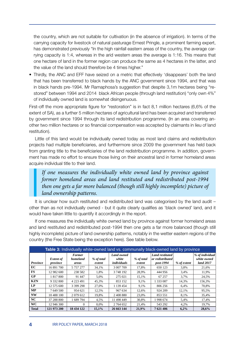the country, which are not suitable for cultivation (in the absence of irrigation). In terms of the carrying capacity for livestock of natural pasturage Ernest Pringle, a prominent farming expert, has demonstrated previously "In the high rainfall eastern areas of the country, the average carrying capacity is 1:4, whereas in the arid western areas the average is 1:16. This means that one hectare of land in the former region can produce the same as 4 hectares in the latter, and the value of the land should therefore be 4 times higher."

• Thirdly, the ANC and EFF have seized on a metric that effectively 'disappears' both the land that has been transferred to black hands by the ANC government since 1994, and that was in black hands pre-1994. Mr Ramaphosa's suggestion that despite 3,1m hectares being "restored" between 1994 and 2014 black African people (through land restitution) "only own 4%" of individually owned land is somewhat disingenuous.

First-off the more appropriate figure for "restoration" is in fact  $8,1$  million hectares (6,6% of the extent of SA), as a further 5 million hectares of agricultural land has been acquired and transferred by government since 1994 through its land redistribution programme. (In an area covering another two million hectares or so financial compensation was accepted by claimants in lieu of land restitution).

Little of this land would be individually owned today as most land claims and redistribution projects had multiple beneficiaries, and furthermore since 2009 the government has held back from granting title to the beneficiaries of the land redistribution programme. In addition, government has made no effort to ensure those living on their ancestral land in former homeland areas acquire individual title to their land.

*If one measures the individually white owned land by province against former homeland areas and land restituted and redistributed post-1994 then one gets a far more balanced (though still highly incomplete) picture of land ownership patterns.*

It is unclear how such restituted and redistributed land was categorised by the land audit – other than as not individually owned - but it quite clearly qualifies as 'black owned' land, and it would have taken little to quantify it accordingly in the report.

If one measures the individually white owned land by province against former homeland areas and land restituted and redistributed post-1994 then one gets a far more balanced (though still highly incomplete) picture of land ownership patterns, notably in the wetter eastern regions of the country (the Free State being the exception here). See table below.

| Table 3: Individually white-owned land vs. communally black-owned land by province |                              |                                    |                      |                                           |                      |                                                               |             |                                             |  |  |
|------------------------------------------------------------------------------------|------------------------------|------------------------------------|----------------------|-------------------------------------------|----------------------|---------------------------------------------------------------|-------------|---------------------------------------------|--|--|
| <b>Province</b>                                                                    | <b>Extent of</b><br>province | <b>Former</b><br>homeland<br>areas | % of total<br>extent | <b>Land owned</b><br>white<br>individuals | % of total<br>extent | <b>Land restituted</b><br>$\alpha$ redistributed<br>post-1994 | % of extent | % of individual<br>white owned<br>land 2017 |  |  |
| EC                                                                                 | 16 891 700                   | 5 757 277                          | 34.1%                | 3 007 709                                 | 17.8%                | 650 123                                                       | 3.8%        | 21,6%                                       |  |  |
| <b>FS</b>                                                                          | 12 982 600                   | 238 582                            | 1.8%                 | 3748192                                   | 28.9%                | 444 956                                                       | 3.4%        | 11.9%                                       |  |  |
| GP                                                                                 | 1 817 800                    | 91 447                             | 5,0%                 | 275 021                                   | 15,1%                | 67 257                                                        | 3.7%        | 24,5%                                       |  |  |
| <b>KZN</b>                                                                         | 9 332 800                    | 4 2 2 3 4 9 1                      | 45,3%                | 853 152                                   | 9,1%                 | 1 333 087                                                     | 14,3%       | 156,3%                                      |  |  |
| LP                                                                                 | 12 575 600                   | 3 399 298                          | 27.0%                | 1 139 454                                 | 9.1%                 | 806 256                                                       | 6.4%        | 70,8%                                       |  |  |
| <b>MP</b>                                                                          | 7 649 500                    | 954 621                            | 12,5%                | 967 634                                   | 12,6%                | 924 209                                                       | 12,1%       | 95,5%                                       |  |  |
| <b>NW</b>                                                                          | 10 488 100                   | 2 0 79 6 12                        | 19,8%                | 2 408 880                                 | 23,0%                | 853 551                                                       | 8,1%        | 35,4%                                       |  |  |
| NC                                                                                 | 37 288 800                   | 1 689 794                          | 4.5%                 | 11 498 449                                | 30.8%                | 1998 674                                                      | 5,4%        | 17,4%                                       |  |  |
| <b>WC</b>                                                                          | 12 946 300                   | $\Omega$                           | $0.0\%$              | 2 764 652                                 | 21,4%                | 543 292                                                       | 4,2%        | 19,7%                                       |  |  |
| <b>Total</b>                                                                       | 121 973 200                  | 18 434 122                         | 15,1%                | 26 663 144                                | 21,9%                | 7621406                                                       | 6,2%        | 28,6%                                       |  |  |